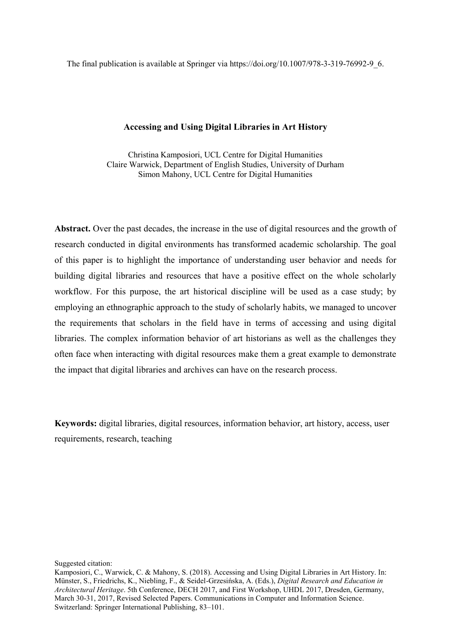The final publication is available at Springer via https://doi.org/10.1007/978-3-319-76992-9\_6.

### **Accessing and Using Digital Libraries in Art History**

Christina Kamposiori, UCL Centre for Digital Humanities Claire Warwick, Department of English Studies, University of Durham Simon Mahony, UCL Centre for Digital Humanities

**Abstract.** Over the past decades, the increase in the use of digital resources and the growth of research conducted in digital environments has transformed academic scholarship. The goal of this paper is to highlight the importance of understanding user behavior and needs for building digital libraries and resources that have a positive effect on the whole scholarly workflow. For this purpose, the art historical discipline will be used as a case study; by employing an ethnographic approach to the study of scholarly habits, we managed to uncover the requirements that scholars in the field have in terms of accessing and using digital libraries. The complex information behavior of art historians as well as the challenges they often face when interacting with digital resources make them a great example to demonstrate the impact that digital libraries and archives can have on the research process.

**Keywords:** digital libraries, digital resources, information behavior, art history, access, user requirements, research, teaching

#### Suggested citation:

Kamposiori, C., Warwick, C. & Mahony, S. (2018). Accessing and Using Digital Libraries in Art History. In: Münster, S., Friedrichs, K., Niebling, F., & Seidel-Grzesińska, A. (Eds.), *Digital Research and Education in Architectural Heritage*. 5th Conference, DECH 2017, and First Workshop, UHDL 2017, Dresden, Germany, March 30-31, 2017, Revised Selected Papers. Communications in Computer and Information Science. Switzerland: Springer International Publishing, 83–101.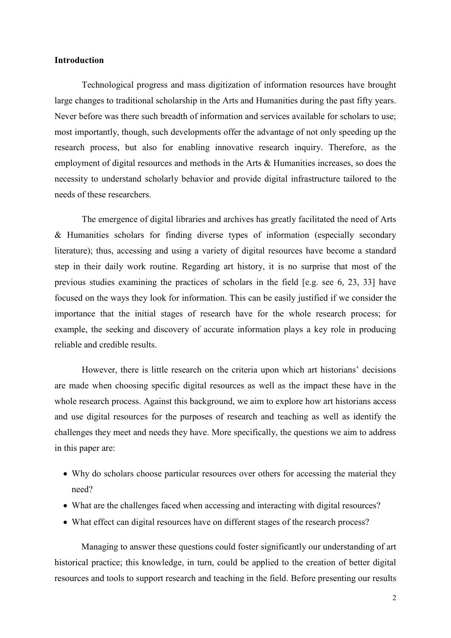### **Introduction**

Technological progress and mass digitization of information resources have brought large changes to traditional scholarship in the Arts and Humanities during the past fifty years. Never before was there such breadth of information and services available for scholars to use; most importantly, though, such developments offer the advantage of not only speeding up the research process, but also for enabling innovative research inquiry. Therefore, as the employment of digital resources and methods in the Arts & Humanities increases, so does the necessity to understand scholarly behavior and provide digital infrastructure tailored to the needs of these researchers.

The emergence of digital libraries and archives has greatly facilitated the need of Arts & Humanities scholars for finding diverse types of information (especially secondary literature); thus, accessing and using a variety of digital resources have become a standard step in their daily work routine. Regarding art history, it is no surprise that most of the previous studies examining the practices of scholars in the field [e.g. see 6, 23, 33] have focused on the ways they look for information. This can be easily justified if we consider the importance that the initial stages of research have for the whole research process; for example, the seeking and discovery of accurate information plays a key role in producing reliable and credible results.

However, there is little research on the criteria upon which art historians' decisions are made when choosing specific digital resources as well as the impact these have in the whole research process. Against this background, we aim to explore how art historians access and use digital resources for the purposes of research and teaching as well as identify the challenges they meet and needs they have. More specifically, the questions we aim to address in this paper are:

- Why do scholars choose particular resources over others for accessing the material they need?
- What are the challenges faced when accessing and interacting with digital resources?
- What effect can digital resources have on different stages of the research process?

Managing to answer these questions could foster significantly our understanding of art historical practice; this knowledge, in turn, could be applied to the creation of better digital resources and tools to support research and teaching in the field. Before presenting our results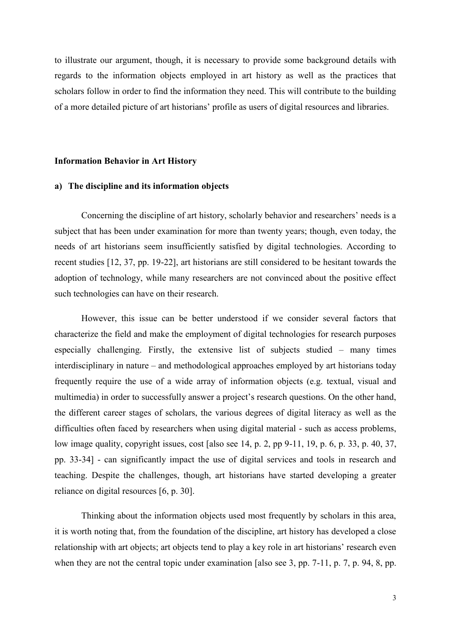to illustrate our argument, though, it is necessary to provide some background details with regards to the information objects employed in art history as well as the practices that scholars follow in order to find the information they need. This will contribute to the building of a more detailed picture of art historians' profile as users of digital resources and libraries.

### **Information Behavior in Art History**

### **a) The discipline and its information objects**

Concerning the discipline of art history, scholarly behavior and researchers' needs is a subject that has been under examination for more than twenty years; though, even today, the needs of art historians seem insufficiently satisfied by digital technologies. According to recent studies [12, 37, pp. 19-22], art historians are still considered to be hesitant towards the adoption of technology, while many researchers are not convinced about the positive effect such technologies can have on their research.

However, this issue can be better understood if we consider several factors that characterize the field and make the employment of digital technologies for research purposes especially challenging. Firstly, the extensive list of subjects studied – many times interdisciplinary in nature – and methodological approaches employed by art historians today frequently require the use of a wide array of information objects (e.g. textual, visual and multimedia) in order to successfully answer a project's research questions. On the other hand, the different career stages of scholars, the various degrees of digital literacy as well as the difficulties often faced by researchers when using digital material - such as access problems, low image quality, copyright issues, cost [also see 14, p. 2, pp 9-11, 19, p. 6, p. 33, p. 40, 37, pp. 33-34] - can significantly impact the use of digital services and tools in research and teaching. Despite the challenges, though, art historians have started developing a greater reliance on digital resources [6, p. 30].

Thinking about the information objects used most frequently by scholars in this area, it is worth noting that, from the foundation of the discipline, art history has developed a close relationship with art objects; art objects tend to play a key role in art historians' research even when they are not the central topic under examination [also see 3, pp. 7-11, p. 7, p. 94, 8, pp.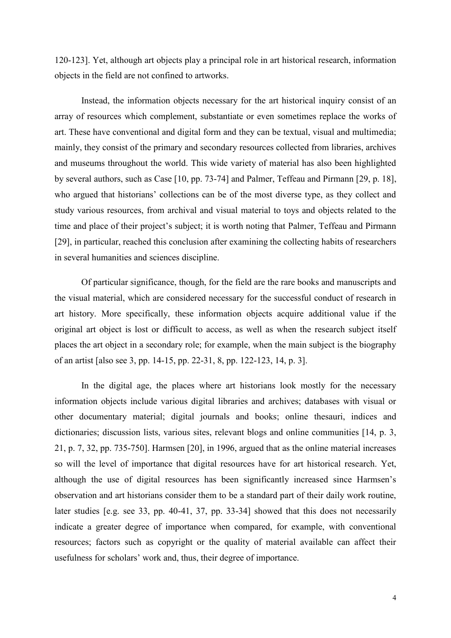120-123]. Yet, although art objects play a principal role in art historical research, information objects in the field are not confined to artworks.

Instead, the information objects necessary for the art historical inquiry consist of an array of resources which complement, substantiate or even sometimes replace the works of art. These have conventional and digital form and they can be textual, visual and multimedia; mainly, they consist of the primary and secondary resources collected from libraries, archives and museums throughout the world. This wide variety of material has also been highlighted by several authors, such as Case [10, pp. 73-74] and Palmer, Teffeau and Pirmann [29, p. 18], who argued that historians' collections can be of the most diverse type, as they collect and study various resources, from archival and visual material to toys and objects related to the time and place of their project's subject; it is worth noting that Palmer, Teffeau and Pirmann [29], in particular, reached this conclusion after examining the collecting habits of researchers in several humanities and sciences discipline.

Of particular significance, though, for the field are the rare books and manuscripts and the visual material, which are considered necessary for the successful conduct of research in art history. More specifically, these information objects acquire additional value if the original art object is lost or difficult to access, as well as when the research subject itself places the art object in a secondary role; for example, when the main subject is the biography of an artist [also see 3, pp. 14-15, pp. 22-31, 8, pp. 122-123, 14, p. 3].

In the digital age, the places where art historians look mostly for the necessary information objects include various digital libraries and archives; databases with visual or other documentary material; digital journals and books; online thesauri, indices and dictionaries; discussion lists, various sites, relevant blogs and online communities [14, p. 3, 21, p. 7, 32, pp. 735-750]. Harmsen [20], in 1996, argued that as the online material increases so will the level of importance that digital resources have for art historical research. Yet, although the use of digital resources has been significantly increased since Harmsen's observation and art historians consider them to be a standard part of their daily work routine, later studies [e.g. see 33, pp. 40-41, 37, pp. 33-34] showed that this does not necessarily indicate a greater degree of importance when compared, for example, with conventional resources; factors such as copyright or the quality of material available can affect their usefulness for scholars' work and, thus, their degree of importance.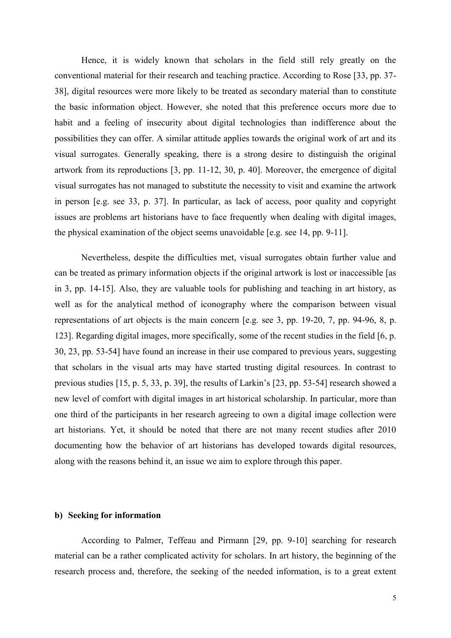Hence, it is widely known that scholars in the field still rely greatly on the conventional material for their research and teaching practice. According to Rose [33, pp. 37- 38], digital resources were more likely to be treated as secondary material than to constitute the basic information object. However, she noted that this preference occurs more due to habit and a feeling of insecurity about digital technologies than indifference about the possibilities they can offer. A similar attitude applies towards the original work of art and its visual surrogates. Generally speaking, there is a strong desire to distinguish the original artwork from its reproductions [3, pp. 11-12, 30, p. 40]. Moreover, the emergence of digital visual surrogates has not managed to substitute the necessity to visit and examine the artwork in person [e.g. see 33, p. 37]. In particular, as lack of access, poor quality and copyright issues are problems art historians have to face frequently when dealing with digital images, the physical examination of the object seems unavoidable [e.g. see 14, pp. 9-11].

Nevertheless, despite the difficulties met, visual surrogates obtain further value and can be treated as primary information objects if the original artwork is lost or inaccessible [as in 3, pp. 14-15]. Also, they are valuable tools for publishing and teaching in art history, as well as for the analytical method of iconography where the comparison between visual representations of art objects is the main concern [e.g. see 3, pp. 19-20, 7, pp. 94-96, 8, p. 123]. Regarding digital images, more specifically, some of the recent studies in the field [6, p. 30, 23, pp. 53-54] have found an increase in their use compared to previous years, suggesting that scholars in the visual arts may have started trusting digital resources. In contrast to previous studies [15, p. 5, 33, p. 39], the results of Larkin's [23, pp. 53-54] research showed a new level of comfort with digital images in art historical scholarship. In particular, more than one third of the participants in her research agreeing to own a digital image collection were art historians. Yet, it should be noted that there are not many recent studies after 2010 documenting how the behavior of art historians has developed towards digital resources, along with the reasons behind it, an issue we aim to explore through this paper.

### **b) Seeking for information**

According to Palmer, Teffeau and Pirmann [29, pp. 9-10] searching for research material can be a rather complicated activity for scholars. In art history, the beginning of the research process and, therefore, the seeking of the needed information, is to a great extent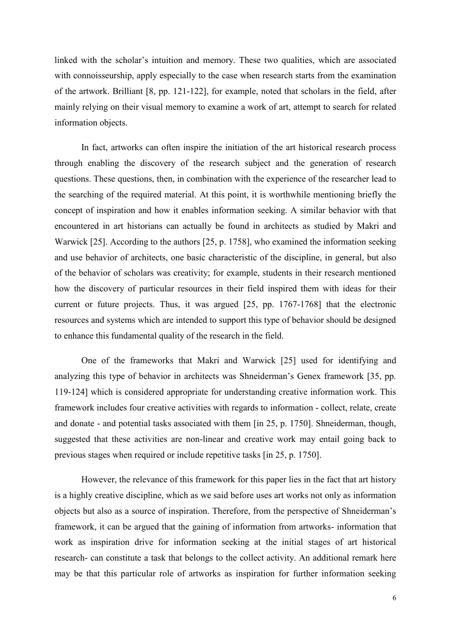linked with the scholar's intuition and memory. These two qualities, which are associated with connoisseurship, apply especially to the case when research starts from the examination of the artwork. Brilliant [8, pp. 121-122], for example, noted that scholars in the field, after mainly relying on their visual memory to examine a work of art, attempt to search for related information objects.

In fact, artworks can often inspire the initiation of the art historical research process through enabling the discovery of the research subject and the generation of research questions. These questions, then, in combination with the experience of the researcher lead to the searching of the required material. At this point, it is worthwhile mentioning briefly the concept of inspiration and how it enables information seeking. A similar behavior with that encountered in art historians can actually be found in architects as studied by Makri and Warwick [25]. According to the authors [25, p. 1758], who examined the information seeking and use behavior of architects, one basic characteristic of the discipline, in general, but also of the behavior of scholars was creativity; for example, students in their research mentioned how the discovery of particular resources in their field inspired them with ideas for their current or future projects. Thus, it was argued [25, pp. 1767-1768] that the electronic resources and systems which are intended to support this type of behavior should be designed to enhance this fundamental quality of the research in the field.

One of the frameworks that Makri and Warwick [25] used for identifying and analyzing this type of behavior in architects was Shneiderman's Genex framework [35, pp. 119-124] which is considered appropriate for understanding creative information work. This framework includes four creative activities with regards to information - collect, relate, create and donate - and potential tasks associated with them [in 25, p. 1750]. Shneiderman, though, suggested that these activities are non-linear and creative work may entail going back to previous stages when required or include repetitive tasks [in 25, p. 1750].

However, the relevance of this framework for this paper lies in the fact that art history is a highly creative discipline, which as we said before uses art works not only as information objects but also as a source of inspiration. Therefore, from the perspective of Shneiderman's framework, it can be argued that the gaining of information from artworks- information that work as inspiration drive for information seeking at the initial stages of art historical research- can constitute a task that belongs to the collect activity. An additional remark here may be that this particular role of artworks as inspiration for further information seeking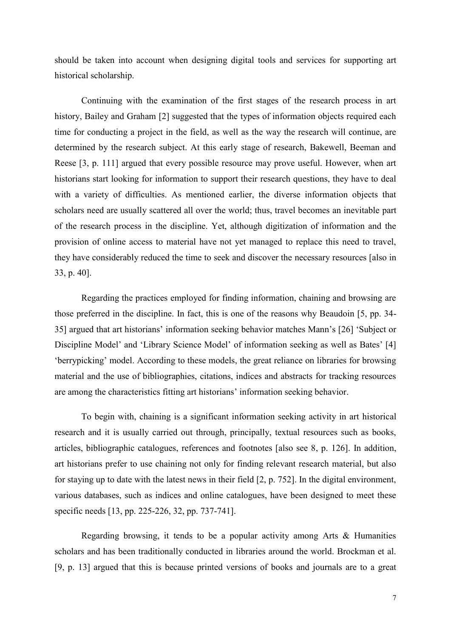should be taken into account when designing digital tools and services for supporting art historical scholarship.

Continuing with the examination of the first stages of the research process in art history, Bailey and Graham [2] suggested that the types of information objects required each time for conducting a project in the field, as well as the way the research will continue, are determined by the research subject. At this early stage of research, Bakewell, Beeman and Reese [3, p. 111] argued that every possible resource may prove useful. However, when art historians start looking for information to support their research questions, they have to deal with a variety of difficulties. As mentioned earlier, the diverse information objects that scholars need are usually scattered all over the world; thus, travel becomes an inevitable part of the research process in the discipline. Yet, although digitization of information and the provision of online access to material have not yet managed to replace this need to travel, they have considerably reduced the time to seek and discover the necessary resources [also in 33, p. 40].

Regarding the practices employed for finding information, chaining and browsing are those preferred in the discipline. In fact, this is one of the reasons why Beaudoin [5, pp. 34- 35] argued that art historians' information seeking behavior matches Mann's [26] 'Subject or Discipline Model' and 'Library Science Model' of information seeking as well as Bates' [4] 'berrypicking' model. According to these models, the great reliance on libraries for browsing material and the use of bibliographies, citations, indices and abstracts for tracking resources are among the characteristics fitting art historians' information seeking behavior.

To begin with, chaining is a significant information seeking activity in art historical research and it is usually carried out through, principally, textual resources such as books, articles, bibliographic catalogues, references and footnotes [also see 8, p. 126]. In addition, art historians prefer to use chaining not only for finding relevant research material, but also for staying up to date with the latest news in their field [2, p. 752]. In the digital environment, various databases, such as indices and online catalogues, have been designed to meet these specific needs [13, pp. 225-226, 32, pp. 737-741].

Regarding browsing, it tends to be a popular activity among Arts & Humanities scholars and has been traditionally conducted in libraries around the world. Brockman et al. [9, p. 13] argued that this is because printed versions of books and journals are to a great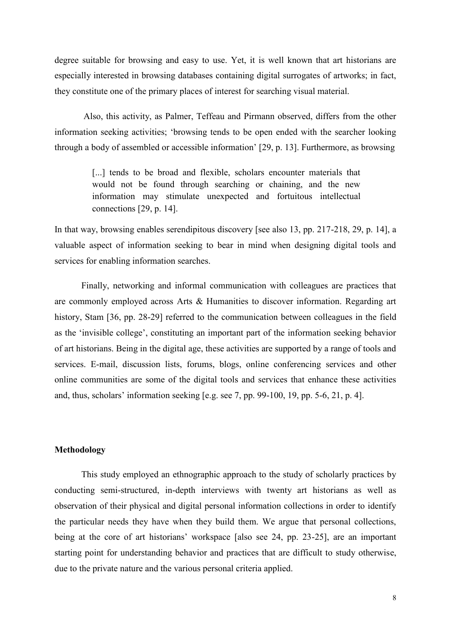degree suitable for browsing and easy to use. Yet, it is well known that art historians are especially interested in browsing databases containing digital surrogates of artworks; in fact, they constitute one of the primary places of interest for searching visual material.

Also, this activity, as Palmer, Teffeau and Pirmann observed, differs from the other information seeking activities; 'browsing tends to be open ended with the searcher looking through a body of assembled or accessible information' [29, p. 13]. Furthermore, as browsing

> [...] tends to be broad and flexible, scholars encounter materials that would not be found through searching or chaining, and the new information may stimulate unexpected and fortuitous intellectual connections [29, p. 14].

In that way, browsing enables serendipitous discovery [see also 13, pp. 217-218, 29, p. 14], a valuable aspect of information seeking to bear in mind when designing digital tools and services for enabling information searches.

Finally, networking and informal communication with colleagues are practices that are commonly employed across Arts & Humanities to discover information. Regarding art history, Stam [36, pp. 28-29] referred to the communication between colleagues in the field as the 'invisible college', constituting an important part of the information seeking behavior of art historians. Being in the digital age, these activities are supported by a range of tools and services. E-mail, discussion lists, forums, blogs, online conferencing services and other online communities are some of the digital tools and services that enhance these activities and, thus, scholars' information seeking [e.g. see 7, pp. 99-100, 19, pp. 5-6, 21, p. 4].

#### **Methodology**

This study employed an ethnographic approach to the study of scholarly practices by conducting semi-structured, in-depth interviews with twenty art historians as well as observation of their physical and digital personal information collections in order to identify the particular needs they have when they build them. We argue that personal collections, being at the core of art historians' workspace [also see 24, pp. 23-25], are an important starting point for understanding behavior and practices that are difficult to study otherwise, due to the private nature and the various personal criteria applied.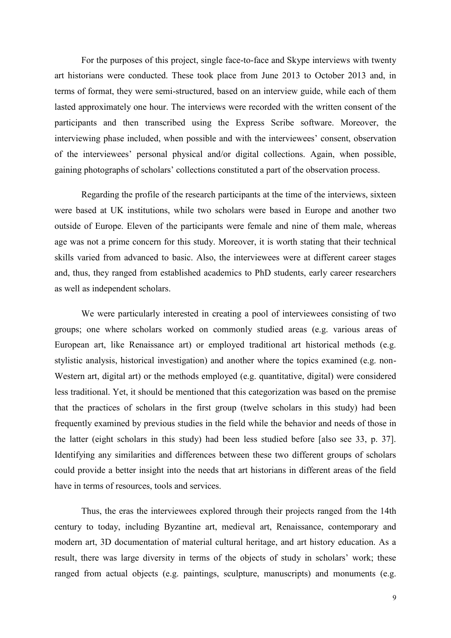For the purposes of this project, single face-to-face and Skype interviews with twenty art historians were conducted. These took place from June 2013 to October 2013 and, in terms of format, they were semi-structured, based on an interview guide, while each of them lasted approximately one hour. The interviews were recorded with the written consent of the participants and then transcribed using the Express Scribe software. Moreover, the interviewing phase included, when possible and with the interviewees' consent, observation of the interviewees' personal physical and/or digital collections. Again, when possible, gaining photographs of scholars' collections constituted a part of the observation process.

Regarding the profile of the research participants at the time of the interviews, sixteen were based at UK institutions, while two scholars were based in Europe and another two outside of Europe. Eleven of the participants were female and nine of them male, whereas age was not a prime concern for this study. Moreover, it is worth stating that their technical skills varied from advanced to basic. Also, the interviewees were at different career stages and, thus, they ranged from established academics to PhD students, early career researchers as well as independent scholars.

We were particularly interested in creating a pool of interviewees consisting of two groups; one where scholars worked on commonly studied areas (e.g. various areas of European art, like Renaissance art) or employed traditional art historical methods (e.g. stylistic analysis, historical investigation) and another where the topics examined (e.g. non-Western art, digital art) or the methods employed (e.g. quantitative, digital) were considered less traditional. Yet, it should be mentioned that this categorization was based on the premise that the practices of scholars in the first group (twelve scholars in this study) had been frequently examined by previous studies in the field while the behavior and needs of those in the latter (eight scholars in this study) had been less studied before [also see 33, p. 37]. Identifying any similarities and differences between these two different groups of scholars could provide a better insight into the needs that art historians in different areas of the field have in terms of resources, tools and services.

Thus, the eras the interviewees explored through their projects ranged from the 14th century to today, including Byzantine art, medieval art, Renaissance, contemporary and modern art, 3D documentation of material cultural heritage, and art history education. As a result, there was large diversity in terms of the objects of study in scholars' work; these ranged from actual objects (e.g. paintings, sculpture, manuscripts) and monuments (e.g.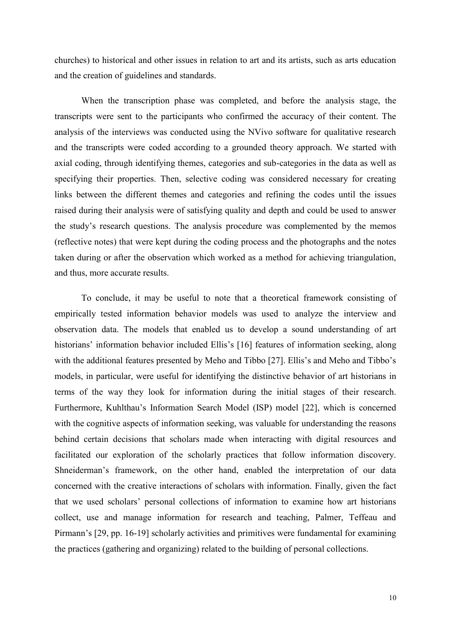churches) to historical and other issues in relation to art and its artists, such as arts education and the creation of guidelines and standards.

When the transcription phase was completed, and before the analysis stage, the transcripts were sent to the participants who confirmed the accuracy of their content. The analysis of the interviews was conducted using the NVivo software for qualitative research and the transcripts were coded according to a grounded theory approach. We started with axial coding, through identifying themes, categories and sub-categories in the data as well as specifying their properties. Then, selective coding was considered necessary for creating links between the different themes and categories and refining the codes until the issues raised during their analysis were of satisfying quality and depth and could be used to answer the study's research questions. The analysis procedure was complemented by the memos (reflective notes) that were kept during the coding process and the photographs and the notes taken during or after the observation which worked as a method for achieving triangulation, and thus, more accurate results.

To conclude, it may be useful to note that a theoretical framework consisting of empirically tested information behavior models was used to analyze the interview and observation data. The models that enabled us to develop a sound understanding of art historians' information behavior included Ellis's [16] features of information seeking, along with the additional features presented by Meho and Tibbo [27]. Ellis's and Meho and Tibbo's models, in particular, were useful for identifying the distinctive behavior of art historians in terms of the way they look for information during the initial stages of their research. Furthermore, Kuhlthau's Information Search Model (ISP) model [22], which is concerned with the cognitive aspects of information seeking, was valuable for understanding the reasons behind certain decisions that scholars made when interacting with digital resources and facilitated our exploration of the scholarly practices that follow information discovery. Shneiderman's framework, on the other hand, enabled the interpretation of our data concerned with the creative interactions of scholars with information. Finally, given the fact that we used scholars' personal collections of information to examine how art historians collect, use and manage information for research and teaching, Palmer, Teffeau and Pirmann's [29, pp. 16-19] scholarly activities and primitives were fundamental for examining the practices (gathering and organizing) related to the building of personal collections.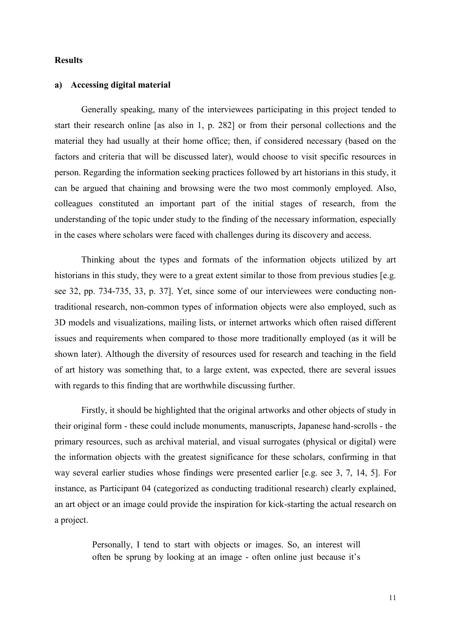### **Results**

#### **a) Accessing digital material**

Generally speaking, many of the interviewees participating in this project tended to start their research online [as also in 1, p. 282] or from their personal collections and the material they had usually at their home office; then, if considered necessary (based on the factors and criteria that will be discussed later), would choose to visit specific resources in person. Regarding the information seeking practices followed by art historians in this study, it can be argued that chaining and browsing were the two most commonly employed. Also, colleagues constituted an important part of the initial stages of research, from the understanding of the topic under study to the finding of the necessary information, especially in the cases where scholars were faced with challenges during its discovery and access.

Thinking about the types and formats of the information objects utilized by art historians in this study, they were to a great extent similar to those from previous studies [e.g. see 32, pp. 734-735, 33, p. 37]. Yet, since some of our interviewees were conducting nontraditional research, non-common types of information objects were also employed, such as 3D models and visualizations, mailing lists, or internet artworks which often raised different issues and requirements when compared to those more traditionally employed (as it will be shown later). Although the diversity of resources used for research and teaching in the field of art history was something that, to a large extent, was expected, there are several issues with regards to this finding that are worthwhile discussing further.

Firstly, it should be highlighted that the original artworks and other objects of study in their original form - these could include monuments, manuscripts, Japanese hand-scrolls - the primary resources, such as archival material, and visual surrogates (physical or digital) were the information objects with the greatest significance for these scholars, confirming in that way several earlier studies whose findings were presented earlier [e.g. see 3, 7, 14, 5]. For instance, as Participant 04 (categorized as conducting traditional research) clearly explained, an art object or an image could provide the inspiration for kick-starting the actual research on a project.

> Personally, I tend to start with objects or images. So, an interest will often be sprung by looking at an image - often online just because it's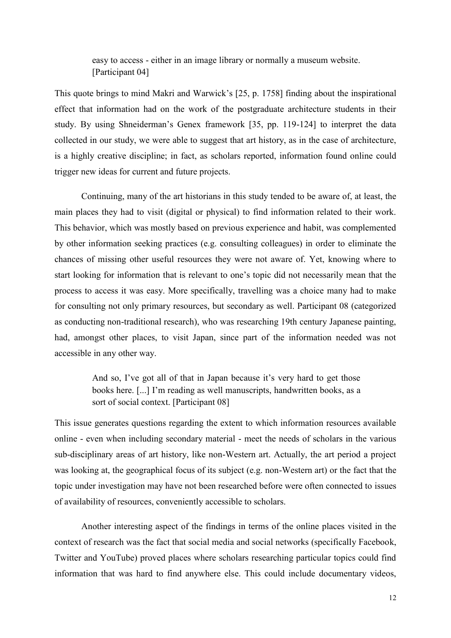easy to access - either in an image library or normally a museum website. [Participant 04]

This quote brings to mind Makri and Warwick's [25, p. 1758] finding about the inspirational effect that information had on the work of the postgraduate architecture students in their study. By using Shneiderman's Genex framework [35, pp. 119-124] to interpret the data collected in our study, we were able to suggest that art history, as in the case of architecture, is a highly creative discipline; in fact, as scholars reported, information found online could trigger new ideas for current and future projects.

Continuing, many of the art historians in this study tended to be aware of, at least, the main places they had to visit (digital or physical) to find information related to their work. This behavior, which was mostly based on previous experience and habit, was complemented by other information seeking practices (e.g. consulting colleagues) in order to eliminate the chances of missing other useful resources they were not aware of. Yet, knowing where to start looking for information that is relevant to one's topic did not necessarily mean that the process to access it was easy. More specifically, travelling was a choice many had to make for consulting not only primary resources, but secondary as well. Participant 08 (categorized as conducting non-traditional research), who was researching 19th century Japanese painting, had, amongst other places, to visit Japan, since part of the information needed was not accessible in any other way.

> And so, I've got all of that in Japan because it's very hard to get those books here. [...] I'm reading as well manuscripts, handwritten books, as a sort of social context. [Participant 08]

This issue generates questions regarding the extent to which information resources available online - even when including secondary material - meet the needs of scholars in the various sub-disciplinary areas of art history, like non-Western art. Actually, the art period a project was looking at, the geographical focus of its subject (e.g. non-Western art) or the fact that the topic under investigation may have not been researched before were often connected to issues of availability of resources, conveniently accessible to scholars.

Another interesting aspect of the findings in terms of the online places visited in the context of research was the fact that social media and social networks (specifically Facebook, Twitter and YouTube) proved places where scholars researching particular topics could find information that was hard to find anywhere else. This could include documentary videos,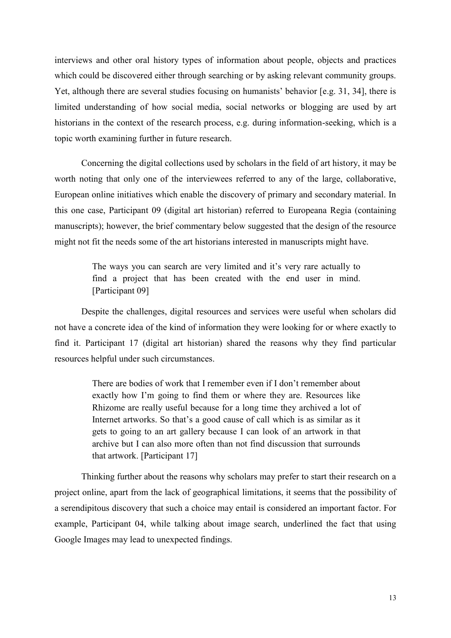interviews and other oral history types of information about people, objects and practices which could be discovered either through searching or by asking relevant community groups. Yet, although there are several studies focusing on humanists' behavior [e.g. 31, 34], there is limited understanding of how social media, social networks or blogging are used by art historians in the context of the research process, e.g. during information-seeking, which is a topic worth examining further in future research.

Concerning the digital collections used by scholars in the field of art history, it may be worth noting that only one of the interviewees referred to any of the large, collaborative, European online initiatives which enable the discovery of primary and secondary material. In this one case, Participant 09 (digital art historian) referred to Europeana Regia (containing manuscripts); however, the brief commentary below suggested that the design of the resource might not fit the needs some of the art historians interested in manuscripts might have.

> The ways you can search are very limited and it's very rare actually to find a project that has been created with the end user in mind. [Participant 09]

Despite the challenges, digital resources and services were useful when scholars did not have a concrete idea of the kind of information they were looking for or where exactly to find it. Participant 17 (digital art historian) shared the reasons why they find particular resources helpful under such circumstances.

> There are bodies of work that I remember even if I don't remember about exactly how I'm going to find them or where they are. Resources like Rhizome are really useful because for a long time they archived a lot of Internet artworks. So that's a good cause of call which is as similar as it gets to going to an art gallery because I can look of an artwork in that archive but I can also more often than not find discussion that surrounds that artwork. [Participant 17]

Thinking further about the reasons why scholars may prefer to start their research on a project online, apart from the lack of geographical limitations, it seems that the possibility of a serendipitous discovery that such a choice may entail is considered an important factor. For example, Participant 04, while talking about image search, underlined the fact that using Google Images may lead to unexpected findings.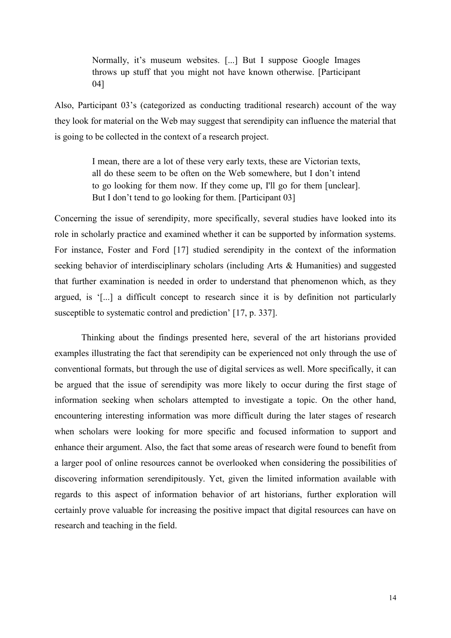Normally, it's museum websites. [...] But I suppose Google Images throws up stuff that you might not have known otherwise. [Participant 04]

Also, Participant 03's (categorized as conducting traditional research) account of the way they look for material on the Web may suggest that serendipity can influence the material that is going to be collected in the context of a research project.

> I mean, there are a lot of these very early texts, these are Victorian texts, all do these seem to be often on the Web somewhere, but I don't intend to go looking for them now. If they come up, I'll go for them [unclear]. But I don't tend to go looking for them. [Participant 03]

Concerning the issue of serendipity, more specifically, several studies have looked into its role in scholarly practice and examined whether it can be supported by information systems. For instance, Foster and Ford [17] studied serendipity in the context of the information seeking behavior of interdisciplinary scholars (including Arts & Humanities) and suggested that further examination is needed in order to understand that phenomenon which, as they argued, is '[...] a difficult concept to research since it is by definition not particularly susceptible to systematic control and prediction' [17, p. 337].

Thinking about the findings presented here, several of the art historians provided examples illustrating the fact that serendipity can be experienced not only through the use of conventional formats, but through the use of digital services as well. More specifically, it can be argued that the issue of serendipity was more likely to occur during the first stage of information seeking when scholars attempted to investigate a topic. On the other hand, encountering interesting information was more difficult during the later stages of research when scholars were looking for more specific and focused information to support and enhance their argument. Also, the fact that some areas of research were found to benefit from a larger pool of online resources cannot be overlooked when considering the possibilities of discovering information serendipitously. Yet, given the limited information available with regards to this aspect of information behavior of art historians, further exploration will certainly prove valuable for increasing the positive impact that digital resources can have on research and teaching in the field.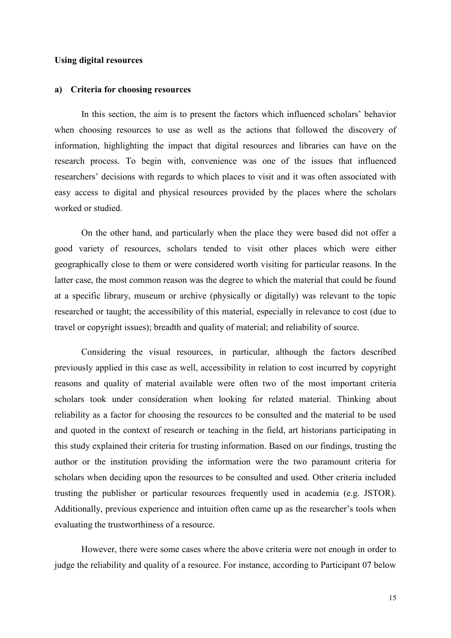### **Using digital resources**

### **a) Criteria for choosing resources**

In this section, the aim is to present the factors which influenced scholars' behavior when choosing resources to use as well as the actions that followed the discovery of information, highlighting the impact that digital resources and libraries can have on the research process. To begin with, convenience was one of the issues that influenced researchers' decisions with regards to which places to visit and it was often associated with easy access to digital and physical resources provided by the places where the scholars worked or studied.

On the other hand, and particularly when the place they were based did not offer a good variety of resources, scholars tended to visit other places which were either geographically close to them or were considered worth visiting for particular reasons. In the latter case, the most common reason was the degree to which the material that could be found at a specific library, museum or archive (physically or digitally) was relevant to the topic researched or taught; the accessibility of this material, especially in relevance to cost (due to travel or copyright issues); breadth and quality of material; and reliability of source.

Considering the visual resources, in particular, although the factors described previously applied in this case as well, accessibility in relation to cost incurred by copyright reasons and quality of material available were often two of the most important criteria scholars took under consideration when looking for related material. Thinking about reliability as a factor for choosing the resources to be consulted and the material to be used and quoted in the context of research or teaching in the field, art historians participating in this study explained their criteria for trusting information. Based on our findings, trusting the author or the institution providing the information were the two paramount criteria for scholars when deciding upon the resources to be consulted and used. Other criteria included trusting the publisher or particular resources frequently used in academia (e.g. JSTOR). Additionally, previous experience and intuition often came up as the researcher's tools when evaluating the trustworthiness of a resource.

However, there were some cases where the above criteria were not enough in order to judge the reliability and quality of a resource. For instance, according to Participant 07 below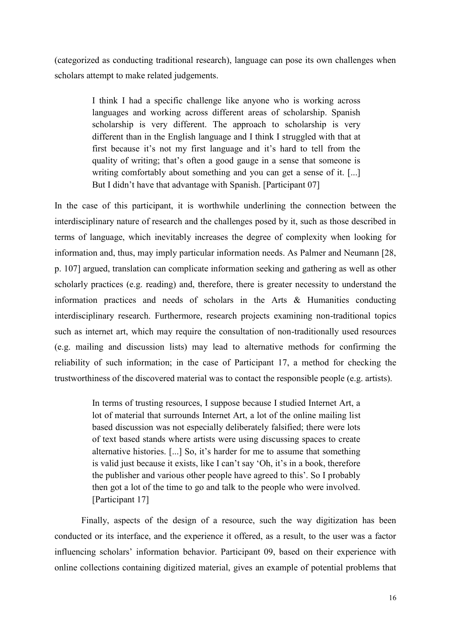(categorized as conducting traditional research), language can pose its own challenges when scholars attempt to make related judgements.

> I think I had a specific challenge like anyone who is working across languages and working across different areas of scholarship. Spanish scholarship is very different. The approach to scholarship is very different than in the English language and I think I struggled with that at first because it's not my first language and it's hard to tell from the quality of writing; that's often a good gauge in a sense that someone is writing comfortably about something and you can get a sense of it. [...] But I didn't have that advantage with Spanish. [Participant 07]

In the case of this participant, it is worthwhile underlining the connection between the interdisciplinary nature of research and the challenges posed by it, such as those described in terms of language, which inevitably increases the degree of complexity when looking for information and, thus, may imply particular information needs. As Palmer and Neumann [28, p. 107] argued, translation can complicate information seeking and gathering as well as other scholarly practices (e.g. reading) and, therefore, there is greater necessity to understand the information practices and needs of scholars in the Arts & Humanities conducting interdisciplinary research. Furthermore, research projects examining non-traditional topics such as internet art, which may require the consultation of non-traditionally used resources (e.g. mailing and discussion lists) may lead to alternative methods for confirming the reliability of such information; in the case of Participant 17, a method for checking the trustworthiness of the discovered material was to contact the responsible people (e.g. artists).

> In terms of trusting resources, I suppose because I studied Internet Art, a lot of material that surrounds Internet Art, a lot of the online mailing list based discussion was not especially deliberately falsified; there were lots of text based stands where artists were using discussing spaces to create alternative histories. [...] So, it's harder for me to assume that something is valid just because it exists, like I can't say 'Oh, it's in a book, therefore the publisher and various other people have agreed to this'. So I probably then got a lot of the time to go and talk to the people who were involved. [Participant 17]

Finally, aspects of the design of a resource, such the way digitization has been conducted or its interface, and the experience it offered, as a result, to the user was a factor influencing scholars' information behavior. Participant 09, based on their experience with online collections containing digitized material, gives an example of potential problems that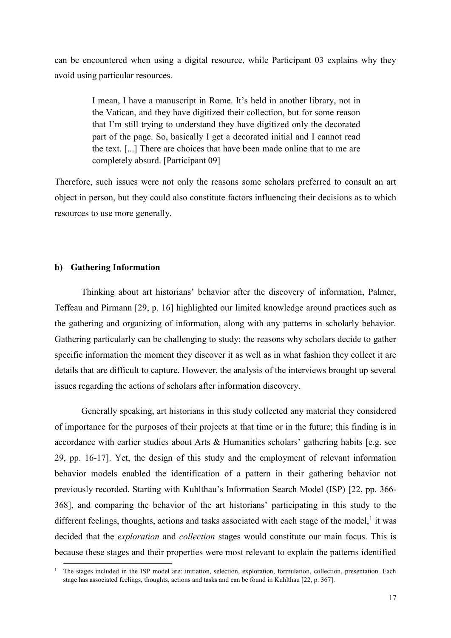can be encountered when using a digital resource, while Participant 03 explains why they avoid using particular resources.

> I mean, I have a manuscript in Rome. It's held in another library, not in the Vatican, and they have digitized their collection, but for some reason that I'm still trying to understand they have digitized only the decorated part of the page. So, basically I get a decorated initial and I cannot read the text. [...] There are choices that have been made online that to me are completely absurd. [Participant 09]

Therefore, such issues were not only the reasons some scholars preferred to consult an art object in person, but they could also constitute factors influencing their decisions as to which resources to use more generally.

#### **b) Gathering Information**

 $\overline{a}$ 

Thinking about art historians' behavior after the discovery of information, Palmer, Teffeau and Pirmann [29, p. 16] highlighted our limited knowledge around practices such as the gathering and organizing of information, along with any patterns in scholarly behavior. Gathering particularly can be challenging to study; the reasons why scholars decide to gather specific information the moment they discover it as well as in what fashion they collect it are details that are difficult to capture. However, the analysis of the interviews brought up several issues regarding the actions of scholars after information discovery.

Generally speaking, art historians in this study collected any material they considered of importance for the purposes of their projects at that time or in the future; this finding is in accordance with earlier studies about Arts & Humanities scholars' gathering habits [e.g. see 29, pp. 16-17]. Yet, the design of this study and the employment of relevant information behavior models enabled the identification of a pattern in their gathering behavior not previously recorded. Starting with Kuhlthau's Information Search Model (ISP) [22, pp. 366- 368], and comparing the behavior of the art historians' participating in this study to the different feelings, thoughts, actions and tasks associated with each stage of the model,<sup>1</sup> it was decided that the *exploration* and *collection* stages would constitute our main focus. This is because these stages and their properties were most relevant to explain the patterns identified

<sup>&</sup>lt;sup>1</sup> The stages included in the ISP model are: initiation, selection, exploration, formulation, collection, presentation. Each stage has associated feelings, thoughts, actions and tasks and can be found in Kuhlthau [22, p. 367].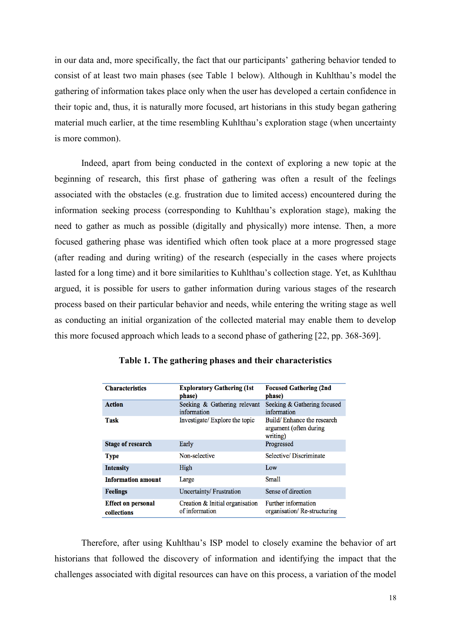in our data and, more specifically, the fact that our participants' gathering behavior tended to consist of at least two main phases (see Table 1 below). Although in Kuhlthau's model the gathering of information takes place only when the user has developed a certain confidence in their topic and, thus, it is naturally more focused, art historians in this study began gathering material much earlier, at the time resembling Kuhlthau's exploration stage (when uncertainty is more common).

Indeed, apart from being conducted in the context of exploring a new topic at the beginning of research, this first phase of gathering was often a result of the feelings associated with the obstacles (e.g. frustration due to limited access) encountered during the information seeking process (corresponding to Kuhlthau's exploration stage), making the need to gather as much as possible (digitally and physically) more intense. Then, a more focused gathering phase was identified which often took place at a more progressed stage (after reading and during writing) of the research (especially in the cases where projects lasted for a long time) and it bore similarities to Kuhlthau's collection stage. Yet, as Kuhlthau argued, it is possible for users to gather information during various stages of the research process based on their particular behavior and needs, while entering the writing stage as well as conducting an initial organization of the collected material may enable them to develop this more focused approach which leads to a second phase of gathering [22, pp. 368-369].

| <b>Characteristics</b>                   | <b>Exploratory Gathering (1st</b><br>phase)       | <b>Focused Gathering (2nd)</b><br>phase)                         |
|------------------------------------------|---------------------------------------------------|------------------------------------------------------------------|
| <b>Action</b>                            | Seeking & Gathering relevant<br>information       | Seeking & Gathering focused<br>information                       |
| Task                                     | Investigate/ Explore the topic                    | Build/Enhance the research<br>argument (often during<br>writing) |
| <b>Stage of research</b>                 | Early                                             | Progressed                                                       |
| <b>Type</b>                              | Non-selective                                     | Selective/Discriminate                                           |
| <b>Intensity</b>                         | High                                              | Low                                                              |
| <b>Information amount</b>                | Large                                             | Small                                                            |
| <b>Feelings</b>                          | Uncertainty/Frustration                           | Sense of direction                                               |
| <b>Effect on personal</b><br>collections | Creation & Initial organisation<br>of information | Further information<br>organisation/Re-structuring               |

**Table 1. The gathering phases and their characteristics**

Therefore, after using Kuhlthau's ISP model to closely examine the behavior of art historians that followed the discovery of information and identifying the impact that the challenges associated with digital resources can have on this process, a variation of the model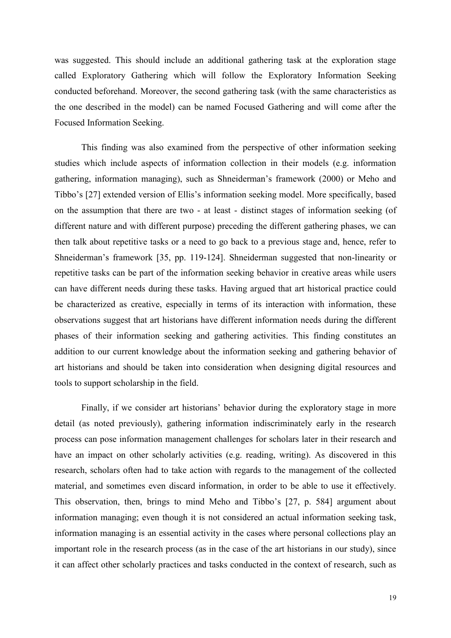was suggested. This should include an additional gathering task at the exploration stage called Exploratory Gathering which will follow the Exploratory Information Seeking conducted beforehand. Moreover, the second gathering task (with the same characteristics as the one described in the model) can be named Focused Gathering and will come after the Focused Information Seeking.

This finding was also examined from the perspective of other information seeking studies which include aspects of information collection in their models (e.g. information gathering, information managing), such as Shneiderman's framework (2000) or Meho and Tibbo's [27] extended version of Ellis's information seeking model. More specifically, based on the assumption that there are two - at least - distinct stages of information seeking (of different nature and with different purpose) preceding the different gathering phases, we can then talk about repetitive tasks or a need to go back to a previous stage and, hence, refer to Shneiderman's framework [35, pp. 119-124]. Shneiderman suggested that non-linearity or repetitive tasks can be part of the information seeking behavior in creative areas while users can have different needs during these tasks. Having argued that art historical practice could be characterized as creative, especially in terms of its interaction with information, these observations suggest that art historians have different information needs during the different phases of their information seeking and gathering activities. This finding constitutes an addition to our current knowledge about the information seeking and gathering behavior of art historians and should be taken into consideration when designing digital resources and tools to support scholarship in the field.

Finally, if we consider art historians' behavior during the exploratory stage in more detail (as noted previously), gathering information indiscriminately early in the research process can pose information management challenges for scholars later in their research and have an impact on other scholarly activities (e.g. reading, writing). As discovered in this research, scholars often had to take action with regards to the management of the collected material, and sometimes even discard information, in order to be able to use it effectively. This observation, then, brings to mind Meho and Tibbo's [27, p. 584] argument about information managing; even though it is not considered an actual information seeking task, information managing is an essential activity in the cases where personal collections play an important role in the research process (as in the case of the art historians in our study), since it can affect other scholarly practices and tasks conducted in the context of research, such as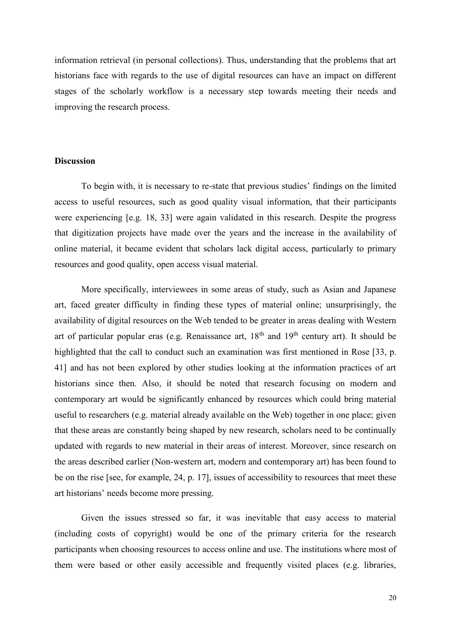information retrieval (in personal collections). Thus, understanding that the problems that art historians face with regards to the use of digital resources can have an impact on different stages of the scholarly workflow is a necessary step towards meeting their needs and improving the research process.

### **Discussion**

To begin with, it is necessary to re-state that previous studies' findings on the limited access to useful resources, such as good quality visual information, that their participants were experiencing [e.g. 18, 33] were again validated in this research. Despite the progress that digitization projects have made over the years and the increase in the availability of online material, it became evident that scholars lack digital access, particularly to primary resources and good quality, open access visual material.

More specifically, interviewees in some areas of study, such as Asian and Japanese art, faced greater difficulty in finding these types of material online; unsurprisingly, the availability of digital resources on the Web tended to be greater in areas dealing with Western art of particular popular eras (e.g. Renaissance art,  $18<sup>th</sup>$  and  $19<sup>th</sup>$  century art). It should be highlighted that the call to conduct such an examination was first mentioned in Rose [33, p. 41] and has not been explored by other studies looking at the information practices of art historians since then. Also, it should be noted that research focusing on modern and contemporary art would be significantly enhanced by resources which could bring material useful to researchers (e.g. material already available on the Web) together in one place; given that these areas are constantly being shaped by new research, scholars need to be continually updated with regards to new material in their areas of interest. Moreover, since research on the areas described earlier (Non-western art, modern and contemporary art) has been found to be on the rise [see, for example, 24, p. 17], issues of accessibility to resources that meet these art historians' needs become more pressing.

Given the issues stressed so far, it was inevitable that easy access to material (including costs of copyright) would be one of the primary criteria for the research participants when choosing resources to access online and use. The institutions where most of them were based or other easily accessible and frequently visited places (e.g. libraries,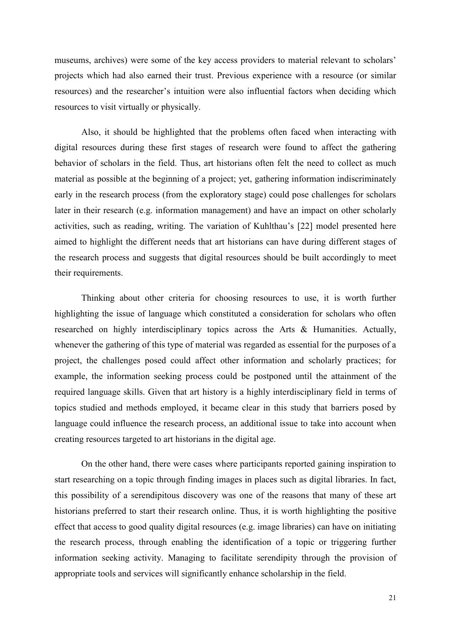museums, archives) were some of the key access providers to material relevant to scholars' projects which had also earned their trust. Previous experience with a resource (or similar resources) and the researcher's intuition were also influential factors when deciding which resources to visit virtually or physically.

Also, it should be highlighted that the problems often faced when interacting with digital resources during these first stages of research were found to affect the gathering behavior of scholars in the field. Thus, art historians often felt the need to collect as much material as possible at the beginning of a project; yet, gathering information indiscriminately early in the research process (from the exploratory stage) could pose challenges for scholars later in their research (e.g. information management) and have an impact on other scholarly activities, such as reading, writing. The variation of Kuhlthau's [22] model presented here aimed to highlight the different needs that art historians can have during different stages of the research process and suggests that digital resources should be built accordingly to meet their requirements.

Thinking about other criteria for choosing resources to use, it is worth further highlighting the issue of language which constituted a consideration for scholars who often researched on highly interdisciplinary topics across the Arts & Humanities. Actually, whenever the gathering of this type of material was regarded as essential for the purposes of a project, the challenges posed could affect other information and scholarly practices; for example, the information seeking process could be postponed until the attainment of the required language skills. Given that art history is a highly interdisciplinary field in terms of topics studied and methods employed, it became clear in this study that barriers posed by language could influence the research process, an additional issue to take into account when creating resources targeted to art historians in the digital age.

On the other hand, there were cases where participants reported gaining inspiration to start researching on a topic through finding images in places such as digital libraries. In fact, this possibility of a serendipitous discovery was one of the reasons that many of these art historians preferred to start their research online. Thus, it is worth highlighting the positive effect that access to good quality digital resources (e.g. image libraries) can have on initiating the research process, through enabling the identification of a topic or triggering further information seeking activity. Managing to facilitate serendipity through the provision of appropriate tools and services will significantly enhance scholarship in the field.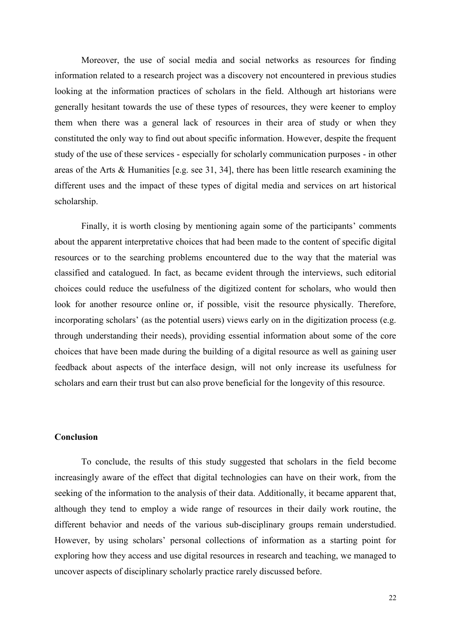Moreover, the use of social media and social networks as resources for finding information related to a research project was a discovery not encountered in previous studies looking at the information practices of scholars in the field. Although art historians were generally hesitant towards the use of these types of resources, they were keener to employ them when there was a general lack of resources in their area of study or when they constituted the only way to find out about specific information. However, despite the frequent study of the use of these services - especially for scholarly communication purposes - in other areas of the Arts & Humanities [e.g. see 31, 34], there has been little research examining the different uses and the impact of these types of digital media and services on art historical scholarship.

Finally, it is worth closing by mentioning again some of the participants' comments about the apparent interpretative choices that had been made to the content of specific digital resources or to the searching problems encountered due to the way that the material was classified and catalogued. In fact, as became evident through the interviews, such editorial choices could reduce the usefulness of the digitized content for scholars, who would then look for another resource online or, if possible, visit the resource physically. Therefore, incorporating scholars' (as the potential users) views early on in the digitization process (e.g. through understanding their needs), providing essential information about some of the core choices that have been made during the building of a digital resource as well as gaining user feedback about aspects of the interface design, will not only increase its usefulness for scholars and earn their trust but can also prove beneficial for the longevity of this resource.

## **Conclusion**

To conclude, the results of this study suggested that scholars in the field become increasingly aware of the effect that digital technologies can have on their work, from the seeking of the information to the analysis of their data. Additionally, it became apparent that, although they tend to employ a wide range of resources in their daily work routine, the different behavior and needs of the various sub-disciplinary groups remain understudied. However, by using scholars' personal collections of information as a starting point for exploring how they access and use digital resources in research and teaching, we managed to uncover aspects of disciplinary scholarly practice rarely discussed before.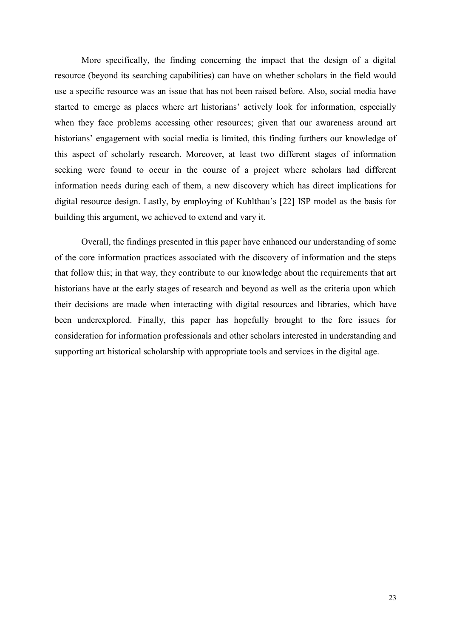More specifically, the finding concerning the impact that the design of a digital resource (beyond its searching capabilities) can have on whether scholars in the field would use a specific resource was an issue that has not been raised before. Also, social media have started to emerge as places where art historians' actively look for information, especially when they face problems accessing other resources; given that our awareness around art historians' engagement with social media is limited, this finding furthers our knowledge of this aspect of scholarly research. Moreover, at least two different stages of information seeking were found to occur in the course of a project where scholars had different information needs during each of them, a new discovery which has direct implications for digital resource design. Lastly, by employing of Kuhlthau's [22] ISP model as the basis for building this argument, we achieved to extend and vary it.

Overall, the findings presented in this paper have enhanced our understanding of some of the core information practices associated with the discovery of information and the steps that follow this; in that way, they contribute to our knowledge about the requirements that art historians have at the early stages of research and beyond as well as the criteria upon which their decisions are made when interacting with digital resources and libraries, which have been underexplored. Finally, this paper has hopefully brought to the fore issues for consideration for information professionals and other scholars interested in understanding and supporting art historical scholarship with appropriate tools and services in the digital age.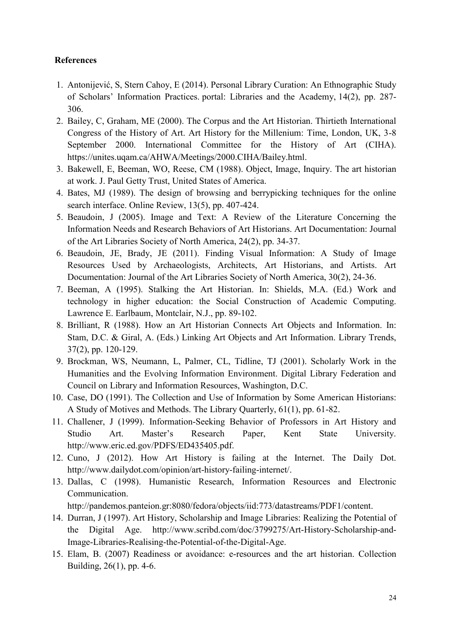# **References**

- 1. Antonijević, S, Stern Cahoy, E (2014). Personal Library Curation: An Ethnographic Study of Scholars' Information Practices. portal: Libraries and the Academy, 14(2), pp. 287- 306.
- 2. Bailey, C, Graham, ME (2000). The Corpus and the Art Historian. Thirtieth International Congress of the History of Art. Art History for the Millenium: Time, London, UK, 3-8 September 2000. International Committee for the History of Art (CIHA). [https://unites.uqam.ca/AHWA/Meetings/2000.CIHA/Bailey.html.](https://unites.uqam.ca/AHWA/Meetings/2000.CIHA/Bailey.html)
- 3. Bakewell, E, Beeman, WO, Reese, CM (1988). Object, Image, Inquiry. The art historian at work. J. Paul Getty Trust, United States of America.
- 4. Bates, MJ (1989). The design of browsing and berrypicking techniques for the online search interface. Online Review, 13(5), pp. 407-424.
- 5. Beaudoin, J (2005). Image and Text: A Review of the Literature Concerning the Information Needs and Research Behaviors of Art Historians. Art Documentation: Journal of the Art Libraries Society of North America, 24(2), pp. 34-37.
- 6. Beaudoin, JE, Brady, JE (2011). Finding Visual Information: A Study of Image Resources Used by Archaeologists, Architects, Art Historians, and Artists. Art Documentation: Journal of the Art Libraries Society of North America, 30(2), 24-36.
- 7. Beeman, A (1995). Stalking the Art Historian. In: Shields, M.A. (Ed.) Work and technology in higher education: the Social Construction of Academic Computing. Lawrence E. Earlbaum, Montclair, N.J., pp. 89-102.
- 8. Brilliant, R (1988). How an Art Historian Connects Art Objects and Information. In: Stam, D.C. & Giral, A. (Eds.) Linking Art Objects and Art Information. Library Trends, 37(2), pp. 120-129.
- 9. Brockman, WS, Neumann, L, Palmer, CL, Tidline, TJ (2001). Scholarly Work in the Humanities and the Evolving Information Environment. Digital Library Federation and Council on Library and Information Resources, Washington, D.C.
- 10. Case, DO (1991). The Collection and Use of Information by Some American Historians: A Study of Motives and Methods. The Library Quarterly, 61(1), pp. 61-82.
- 11. Challener, J (1999). Information-Seeking Behavior of Professors in Art History and Studio Art. Master's Research Paper, Kent State University. [http://www.eric.ed.gov/PDFS/ED435405.pdf.](http://www.eric.ed.gov/PDFS/ED435405.pdf)
- 12. Cuno, J (2012). How Art History is failing at the Internet. The Daily Dot. [http://www.dailydot.com/opinion/art-history-failing-internet/.](http://www.dailydot.com/opinion/art-history-failing-internet/)
- 13. Dallas, C (1998). Humanistic Research, Information Resources and Electronic Communication.

[http://pandemos.panteion.gr:8080/fedora/objects/iid:773/datastreams/PDF1/content.](http://pandemos.panteion.gr:8080/fedora/objects/iid:773/datastreams/PDF1/content)

- 14. Durran, J (1997). Art History, Scholarship and Image Libraries: Realizing the Potential of the Digital Age. [http://www.scribd.com/doc/3799275/Art-History-Scholarship-and-](http://www.scribd.com/doc/3799275/Art-History-Scholarship-and-Image-Libraries-Realising-the-Potential-of-the-Digital-Age)[Image-Libraries-Realising-the-Potential-of-the-Digital-Age.](http://www.scribd.com/doc/3799275/Art-History-Scholarship-and-Image-Libraries-Realising-the-Potential-of-the-Digital-Age)
- 15. Elam, B. (2007) Readiness or avoidance: e-resources and the art historian. Collection Building, 26(1), pp. 4-6.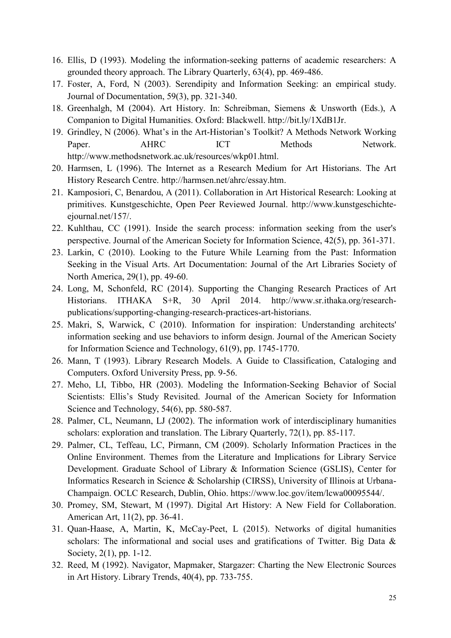- 16. Ellis, D (1993). Modeling the information-seeking patterns of academic researchers: A grounded theory approach. The Library Quarterly, 63(4), pp. 469-486.
- 17. Foster, A, Ford, N (2003). Serendipity and Information Seeking: an empirical study. Journal of Documentation, 59(3), pp. 321-340.
- 18. Greenhalgh, M (2004). Art History. In: Schreibman, Siemens & Unsworth (Eds.), Α Companion to Digital Humanities. Oxford: Blackwell. [http://bit.ly/1XdB1Jr.](http://bit.ly/1XdB1Jr)
- 19. Grindley, N (2006). What's in the Art-Historian's Toolkit? A Methods Network Working Paper. AHRC ICT Methods Network. [http://www.methodsnetwork.ac.uk/resources/wkp01.html.](http://www.methodsnetwork.ac.uk/resources/wkp01.html)
- 20. Harmsen, L (1996). The Internet as a Research Medium for Art Historians. The Art History Research Centre. [http://harmsen.net/ahrc/essay.htm.](http://harmsen.net/ahrc/essay.htm)
- 21. Kamposiori, C, Benardou, A (2011). Collaboration in Art Historical Research: Looking at primitives. Kunstgeschichte, Open Peer Reviewed Journal. [http://www.kunstgeschichte](http://www.kunstgeschichte-ejournal.net/157/)[ejournal.net/157/.](http://www.kunstgeschichte-ejournal.net/157/)
- 22. Kuhlthau, CC (1991). Inside the search process: information seeking from the user's perspective. Journal of the American Society for Information Science, 42(5), pp. 361-371.
- 23. Larkin, C (2010). Looking to the Future While Learning from the Past: Information Seeking in the Visual Arts. Art Documentation: Journal of the Art Libraries Society of North America, 29(1), pp. 49-60.
- 24. Long, M, Schonfeld, RC (2014). Supporting the Changing Research Practices of Art Historians. ITHAKA S+R, 30 April 2014. [http://www.sr.ithaka.org/research](http://www.sr.ithaka.org/research-publications/supporting-changing-research-practices-art-historians)[publications/supporting-changing-research-practices-art-historians.](http://www.sr.ithaka.org/research-publications/supporting-changing-research-practices-art-historians)
- 25. Makri, S, Warwick, C (2010). Information for inspiration: Understanding architects' information seeking and use behaviors to inform design. Journal of the American Society for Information Science and Technology, 61(9), pp. 1745-1770.
- 26. Mann, T (1993). Library Research Models. A Guide to Classification, Cataloging and Computers. Oxford University Press, pp. 9-56.
- 27. Meho, LI, Tibbo, HR (2003). Modeling the Information-Seeking Behavior of Social Scientists: Ellis's Study Revisited. Journal of the American Society for Information Science and Technology, 54(6), pp. 580-587.
- 28. Palmer, CL, Neumann, LJ (2002). The information work of interdisciplinary humanities scholars: exploration and translation. The Library Quarterly, 72(1), pp. 85-117.
- 29. Palmer, CL, Teffeau, LC, Pirmann, CM (2009). Scholarly Information Practices in the Online Environment. Themes from the Literature and Implications for Library Service Development. Graduate School of Library & Information Science (GSLIS), Center for Informatics Research in Science & Scholarship (CIRSS), University of Illinois at Urbana-Champaign. OCLC Research, Dublin, Ohio. [https://www.loc.gov/item/lcwa00095544/.](https://www.loc.gov/item/lcwa00095544/)
- 30. Promey, SM, Stewart, M (1997). Digital Art History: A New Field for Collaboration. American Art, 11(2), pp. 36-41.
- 31. Quan-Haase, A, Martin, K, McCay-Peet, L (2015). Networks of digital humanities scholars: The informational and social uses and gratifications of Twitter. Big Data & Society, 2(1), pp. 1-12.
- 32. Reed, M (1992). Navigator, Mapmaker, Stargazer: Charting the New Electronic Sources in Art History. Library Trends, 40(4), pp. 733-755.